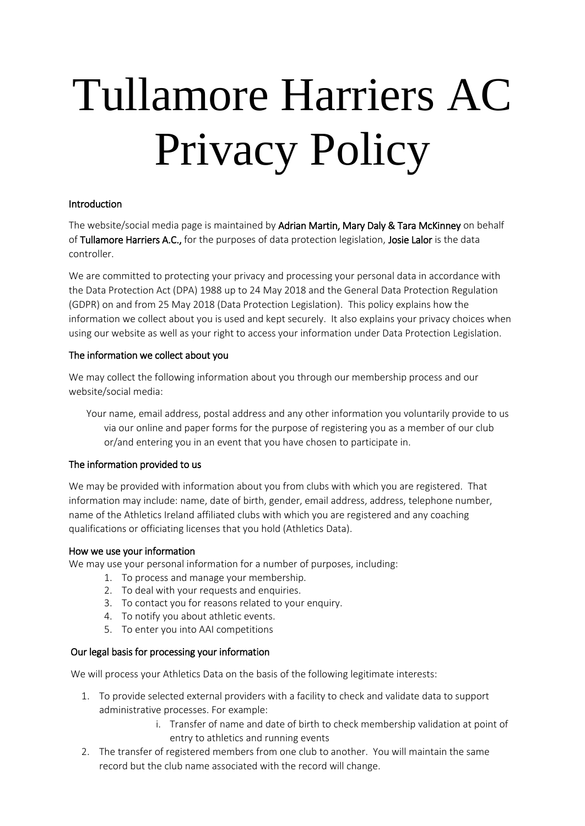# Tullamore Harriers AC Privacy Policy

#### **Introduction**

The website/social media page is maintained by Adrian Martin, Mary Daly & Tara McKinney on behalf of Tullamore Harriers A.C., for the purposes of data protection legislation, Josie Lalor is the data controller.

We are committed to protecting your privacy and processing your personal data in accordance with the Data Protection Act (DPA) 1988 up to 24 May 2018 and the General Data Protection Regulation (GDPR) on and from 25 May 2018 (Data Protection Legislation). This policy explains how the information we collect about you is used and kept securely. It also explains your privacy choices when using our website as well as your right to access your information under Data Protection Legislation.

#### The information we collect about you

We may collect the following information about you through our membership process and our website/social media:

Your name, email address, postal address and any other information you voluntarily provide to us via our online and paper forms for the purpose of registering you as a member of our club or/and entering you in an event that you have chosen to participate in.

#### The information provided to us

We may be provided with information about you from clubs with which you are registered. That information may include: name, date of birth, gender, email address, address, telephone number, name of the Athletics Ireland affiliated clubs with which you are registered and any coaching qualifications or officiating licenses that you hold (Athletics Data).

#### How we use your information

We may use your personal information for a number of purposes, including:

- 1. To process and manage your membership.
- 2. To deal with your requests and enquiries.
- 3. To contact you for reasons related to your enquiry.
- 4. To notify you about athletic events.
- 5. To enter you into AAI competitions

#### Our legal basis for processing your information

We will process your Athletics Data on the basis of the following legitimate interests:

- 1. To provide selected external providers with a facility to check and validate data to support administrative processes. For example:
	- i. Transfer of name and date of birth to check membership validation at point of entry to athletics and running events
- 2. The transfer of registered members from one club to another. You will maintain the same record but the club name associated with the record will change.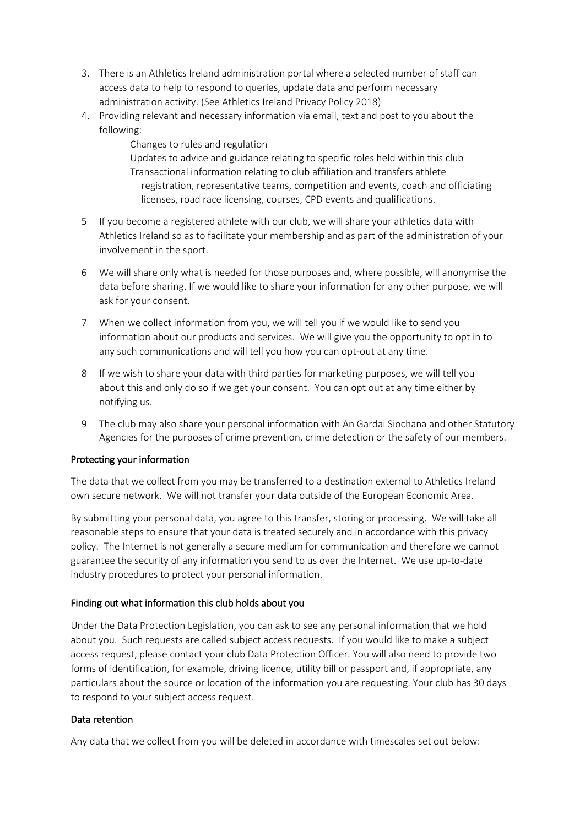- 3. There is an Athletics Ireland administration portal where a selected number of staff can access data to help to respond to queries, update data and perform necessary administration activity. (See Athletics Ireland Privacy Policy 2018)
- 4. Providing relevant and necessary information via email, text and post to you about the following:

Changes to rules and regulation Updates to advice and guidance relating to specific roles held within this club Transactional information relating to club affiliation and transfers athlete registration, representative teams, competition and events, coach and officiating

- licenses, road race licensing, courses, CPD events and qualifications.
- 5 If you become a registered athlete with our club, we will share your athletics data with Athletics Ireland so as to facilitate your membership and as part of the administration of your involvement in the sport.
- 6 We will share only what is needed for those purposes and, where possible, will anonymise the data before sharing. If we would like to share your information for any other purpose, we will ask for your consent.
- 7 When we collect information from you, we will tell you if we would like to send you information about our products and services. We will give you the opportunity to opt in to any such communications and will tell you how you can opt-out at any time.
- 8 If we wish to share your data with third parties for marketing purposes, we will tell you about this and only do so if we get your consent. You can opt out at any time either by notifying us.
- 9 The club may also share your personal information with An Gardai Siochana and other Statutory Agencies for the purposes of crime prevention, crime detection or the safety of our members.

### Protecting your information

The data that we collect from you may be transferred to a destination external to Athletics Ireland own secure network. We will not transfer your data outside of the European Economic Area.

By submitting your personal data, you agree to this transfer, storing or processing. We will take all reasonable steps to ensure that your data is treated securely and in accordance with this privacy policy. The Internet is not generally a secure medium for communication and therefore we cannot guarantee the security of any information you send to us over the Internet. We use up-to-date industry procedures to protect your personal information.

#### Finding out what information this club holds about you

Under the Data Protection Legislation, you can ask to see any personal information that we hold about you. Such requests are called subject access requests. If you would like to make a subject access request, please contact your club Data Protection Officer. You will also need to provide two forms of identification, for example, driving licence, utility bill or passport and, if appropriate, any particulars about the source or location of the information you are requesting. Your club has 30 days to respond to your subject access request.

#### Data retention

Any data that we collect from you will be deleted in accordance with timescales set out below: